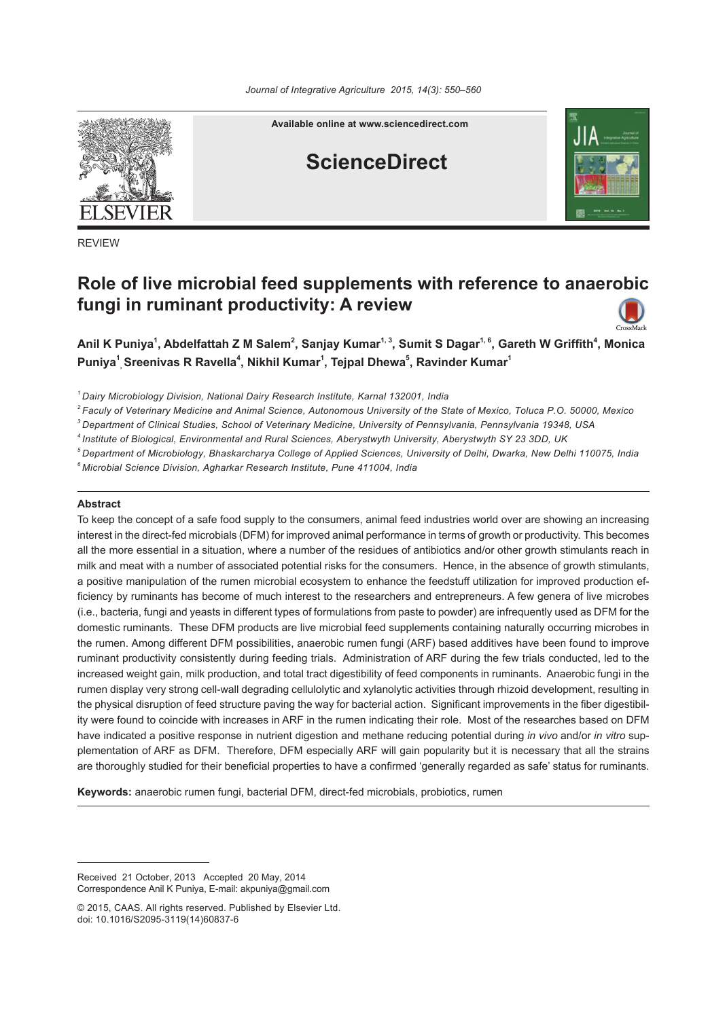

REVIEW

**Available online at www.sciencedirect.com**

# **ScienceDirect**



# **Role of live microbial feed supplements with reference to anaerobic fungi in ruminant productivity: A review**



Anil K Puniya<sup>1</sup>, Abdelfattah Z M Salem<sup>2</sup>, Sanjay Kumar<sup>1, 3</sup>, Sumit S Dagar<sup>1, 6</sup>, Gareth W Griffith<sup>4</sup>, Monica **Puniya<sup>1</sup> , Sreenivas R Ravella<sup>4</sup> , Nikhil Kumar1 , Tejpal Dhewa<sup>5</sup> , Ravinder Kumar<sup>1</sup>**

*1 Dairy Microbiology Division, National Dairy Research Institute, Karnal 132001, India*

*2 Faculy of Veterinary Medicine and Animal Science, Autonomous University of the State of Mexico, Toluca P.O. 50000, Mexico*

*3 Department of Clinical Studies, School of Veterinary Medicine, University of Pennsylvania, Pennsylvania 19348, USA*

*4 Institute of Biological, Environmental and Rural Sciences, Aberystwyth University, Aberystwyth SY 23 3DD, UK*

*5 Department of Microbiology, Bhaskarcharya College of Applied Sciences, University of Delhi, Dwarka, New Delhi 110075, India*

*6 Microbial Science Division, Agharkar Research Institute, Pune 411004, India*

#### **Abstract**

To keep the concept of a safe food supply to the consumers, animal feed industries world over are showing an increasing interest in the direct-fed microbials (DFM) for improved animal performance in terms of growth or productivity. This becomes all the more essential in a situation, where a number of the residues of antibiotics and/or other growth stimulants reach in milk and meat with a number of associated potential risks for the consumers. Hence, in the absence of growth stimulants, a positive manipulation of the rumen microbial ecosystem to enhance the feedstuff utilization for improved production efficiency by ruminants has become of much interest to the researchers and entrepreneurs. A few genera of live microbes (i.e., bacteria, fungi and yeasts in different types of formulations from paste to powder) are infrequently used as DFM for the domestic ruminants. These DFM products are live microbial feed supplements containing naturally occurring microbes in the rumen. Among different DFM possibilities, anaerobic rumen fungi (ARF) based additives have been found to improve ruminant productivity consistently during feeding trials. Administration of ARF during the few trials conducted, led to the increased weight gain, milk production, and total tract digestibility of feed components in ruminants. Anaerobic fungi in the rumen display very strong cell-wall degrading cellulolytic and xylanolytic activities through rhizoid development, resulting in the physical disruption of feed structure paving the way for bacterial action. Significant improvements in the fiber digestibility were found to coincide with increases in ARF in the rumen indicating their role. Most of the researches based on DFM have indicated a positive response in nutrient digestion and methane reducing potential during *in vivo* and/or *in vitro* supplementation of ARF as DFM. Therefore, DFM especially ARF will gain popularity but it is necessary that all the strains are thoroughly studied for their beneficial properties to have a confirmed 'generally regarded as safe' status for ruminants.

**Keywords:** anaerobic rumen fungi, bacterial DFM, direct-fed microbials, probiotics, rumen

Received 21 October, 2013 Accepted 20 May, 2014 Correspondence Anil K Puniya, E-mail: akpuniya@gmail.com

<sup>© 2015,</sup> CAAS. All rights reserved. Published by Elsevier Ltd. doi: 10.1016/S2095-3119(14)60837-6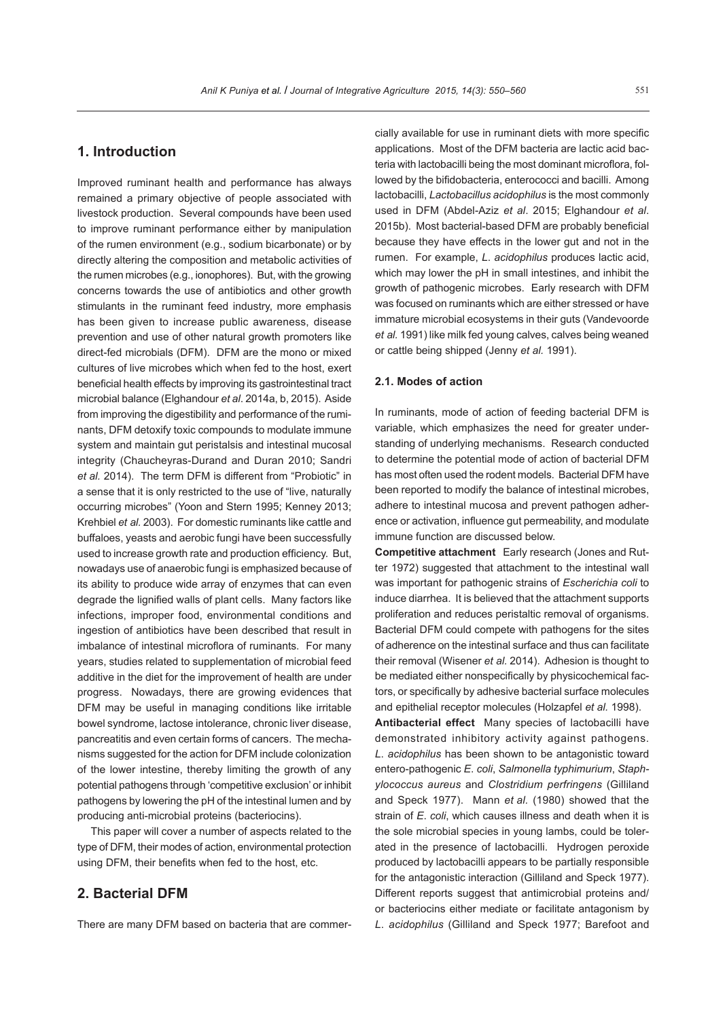# **1. Introduction**

Improved ruminant health and performance has always remained a primary objective of people associated with livestock production. Several compounds have been used to improve ruminant performance either by manipulation of the rumen environment (e.g., sodium bicarbonate) or by directly altering the composition and metabolic activities of the rumen microbes (e.g., ionophores). But, with the growing concerns towards the use of antibiotics and other growth stimulants in the ruminant feed industry, more emphasis has been given to increase public awareness, disease prevention and use of other natural growth promoters like direct-fed microbials (DFM). DFM are the mono or mixed cultures of live microbes which when fed to the host, exert beneficial health effects by improving its gastrointestinal tract microbial balance (Elghandour *et al*. 2014a, b, 2015). Aside from improving the digestibility and performance of the ruminants, DFM detoxify toxic compounds to modulate immune system and maintain gut peristalsis and intestinal mucosal integrity (Chaucheyras-Durand and Duran 2010; Sandri *et al.* 2014). The term DFM is different from "Probiotic" in a sense that it is only restricted to the use of "live, naturally occurring microbes" (Yoon and Stern 1995; Kenney 2013; Krehbiel *et al.* 2003). For domestic ruminants like cattle and buffaloes, yeasts and aerobic fungi have been successfully used to increase growth rate and production efficiency. But, nowadays use of anaerobic fungi is emphasized because of its ability to produce wide array of enzymes that can even degrade the lignified walls of plant cells. Many factors like infections, improper food, environmental conditions and ingestion of antibiotics have been described that result in imbalance of intestinal microflora of ruminants. For many years, studies related to supplementation of microbial feed additive in the diet for the improvement of health are under progress. Nowadays, there are growing evidences that DFM may be useful in managing conditions like irritable bowel syndrome, lactose intolerance, chronic liver disease, pancreatitis and even certain forms of cancers. The mechanisms suggested for the action for DFM include colonization of the lower intestine, thereby limiting the growth of any potential pathogens through 'competitive exclusion' or inhibit pathogens by lowering the pH of the intestinal lumen and by producing anti-microbial proteins (bacteriocins).

This paper will cover a number of aspects related to the type of DFM, their modes of action, environmental protection using DFM, their benefits when fed to the host, etc.

## **2. Bacterial DfM**

There are many DFM based on bacteria that are commer-

cially available for use in ruminant diets with more specific applications. Most of the DFM bacteria are lactic acid bacteria with lactobacilli being the most dominant microflora, followed by the bifidobacteria, enterococci and bacilli. Among lactobacilli, *Lactobacillus acidophilus* is the most commonly used in DFM (Abdel-Aziz *et al*. 2015; Elghandour *et al*. 2015b). Most bacterial-based DFM are probably beneficial because they have effects in the lower gut and not in the rumen. For example, *L*. *acidophilus* produces lactic acid, which may lower the pH in small intestines, and inhibit the growth of pathogenic microbes. Early research with DFM was focused on ruminants which are either stressed or have immature microbial ecosystems in their guts (Vandevoorde *et al.* 1991) like milk fed young calves, calves being weaned or cattle being shipped (Jenny *et al.* 1991).

#### **2.1. Modes of action**

In ruminants, mode of action of feeding bacterial DFM is variable, which emphasizes the need for greater understanding of underlying mechanisms. Research conducted to determine the potential mode of action of bacterial DFM has most often used the rodent models. Bacterial DFM have been reported to modify the balance of intestinal microbes, adhere to intestinal mucosa and prevent pathogen adherence or activation, influence gut permeability, and modulate immune function are discussed below.

**Competitive attachment**Early research (Jones and Rutter 1972) suggested that attachment to the intestinal wall was important for pathogenic strains of *Escherichia coli* to induce diarrhea. It is believed that the attachment supports proliferation and reduces peristaltic removal of organisms. Bacterial DFM could compete with pathogens for the sites of adherence on the intestinal surface and thus can facilitate their removal (Wisener *et al.* 2014). Adhesion is thought to be mediated either nonspecifically by physicochemical factors, or specifically by adhesive bacterial surface molecules and epithelial receptor molecules (Holzapfel *et al.* 1998).

**Antibacterial effect** Many species of lactobacilli have demonstrated inhibitory activity against pathogens. *L*. *acidophilus* has been shown to be antagonistic toward entero-pathogenic *E*. *coli*, *Salmonella typhimurium*, *Staphylococcus aureus* and *Clostridium perfringens* (Gilliland and Speck 1977). Mann *et al.* (1980) showed that the strain of *E*. *coli*, which causes illness and death when it is the sole microbial species in young lambs, could be tolerated in the presence of lactobacilli. Hydrogen peroxide produced by lactobacilli appears to be partially responsible for the antagonistic interaction (Gilliland and Speck 1977). Different reports suggest that antimicrobial proteins and/ or bacteriocins either mediate or facilitate antagonism by *L*. *acidophilus* (Gilliland and Speck 1977; Barefoot and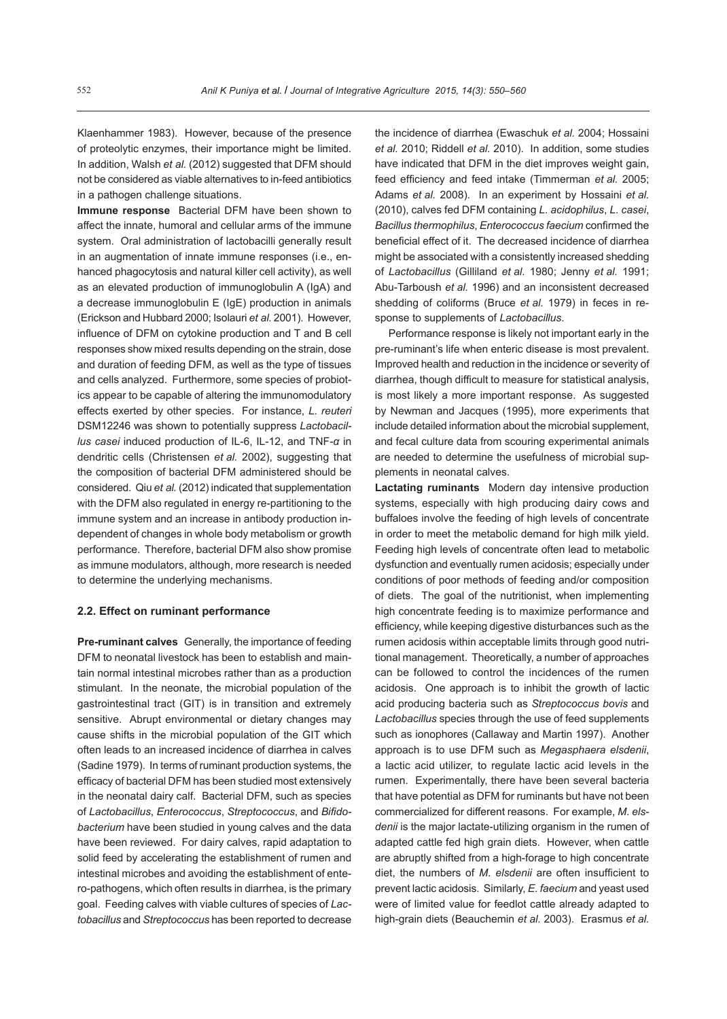Klaenhammer 1983). However, because of the presence of proteolytic enzymes, their importance might be limited. In addition, Walsh *et al.* (2012) suggested that DFM should not be considered as viable alternatives to in-feed antibiotics in a pathogen challenge situations.

**Immune response**Bacterial DFM have been shown to affect the innate, humoral and cellular arms of the immune system. Oral administration of lactobacilli generally result in an augmentation of innate immune responses (i.e., enhanced phagocytosis and natural killer cell activity), as well as an elevated production of immunoglobulin A (IgA) and a decrease immunoglobulin E (IgE) production in animals (Erickson and Hubbard 2000; Isolauri *et al.* 2001). However, influence of DFM on cytokine production and T and B cell responses show mixed results depending on the strain, dose and duration of feeding DFM, as well as the type of tissues and cells analyzed. Furthermore, some species of probiotics appear to be capable of altering the immunomodulatory effects exerted by other species. For instance, *L*. *reuteri*  DSM12246 was shown to potentially suppress *Lactobacillus casei* induced production of IL-6, IL-12, and TNF-*α* in dendritic cells (Christensen *et al.* 2002), suggesting that the composition of bacterial DFM administered should be considered. Qiu *et al.* (2012) indicated that supplementation with the DFM also regulated in energy re-partitioning to the immune system and an increase in antibody production independent of changes in whole body metabolism or growth performance. Therefore, bacterial DFM also show promise as immune modulators, although, more research is needed to determine the underlying mechanisms.

#### **2.2. Effect on ruminant performance**

**Pre-ruminant calves**Generally, the importance of feeding DFM to neonatal livestock has been to establish and maintain normal intestinal microbes rather than as a production stimulant. In the neonate, the microbial population of the gastrointestinal tract (GIT) is in transition and extremely sensitive. Abrupt environmental or dietary changes may cause shifts in the microbial population of the GIT which often leads to an increased incidence of diarrhea in calves (Sadine 1979). In terms of ruminant production systems, the efficacy of bacterial DFM has been studied most extensively in the neonatal dairy calf. Bacterial DFM, such as species of *Lactobacillus*, *Enterococcus*, *Streptococcus*, and *Bifidobacterium* have been studied in young calves and the data have been reviewed. For dairy calves, rapid adaptation to solid feed by accelerating the establishment of rumen and intestinal microbes and avoiding the establishment of entero-pathogens, which often results in diarrhea, is the primary goal. Feeding calves with viable cultures of species of *Lactobacillus* and *Streptococcus* has been reported to decrease

the incidence of diarrhea (Ewaschuk *et al.* 2004; Hossaini *et al.* 2010; Riddell *et al.* 2010). In addition, some studies have indicated that DFM in the diet improves weight gain, feed efficiency and feed intake (Timmerman *et al.* 2005; Adams *et al.* 2008). In an experiment by Hossaini *et al.* (2010), calves fed DFM containing *L*. *acidophilus*, *L*. *casei*, *Bacillus thermophilus*, *Enterococcus faecium* confirmed the beneficial effect of it. The decreased incidence of diarrhea might be associated with a consistently increased shedding of *Lactobacillus* (Gilliland *et al.* 1980; Jenny *et al.* 1991; Abu-Tarboush *et al.* 1996) and an inconsistent decreased shedding of coliforms (Bruce *et al.* 1979) in feces in response to supplements of *Lactobacillus*.

Performance response is likely not important early in the pre-ruminant's life when enteric disease is most prevalent. Improved health and reduction in the incidence or severity of diarrhea, though difficult to measure for statistical analysis, is most likely a more important response. As suggested by Newman and Jacques (1995), more experiments that include detailed information about the microbial supplement, and fecal culture data from scouring experimental animals are needed to determine the usefulness of microbial supplements in neonatal calves.

**Lactating ruminants**Modern day intensive production systems, especially with high producing dairy cows and buffaloes involve the feeding of high levels of concentrate in order to meet the metabolic demand for high milk yield. Feeding high levels of concentrate often lead to metabolic dysfunction and eventually rumen acidosis; especially under conditions of poor methods of feeding and/or composition of diets. The goal of the nutritionist, when implementing high concentrate feeding is to maximize performance and efficiency, while keeping digestive disturbances such as the rumen acidosis within acceptable limits through good nutritional management. Theoretically, a number of approaches can be followed to control the incidences of the rumen acidosis. One approach is to inhibit the growth of lactic acid producing bacteria such as *Streptococcus bovis* and *Lactobacillus* species through the use of feed supplements such as ionophores (Callaway and Martin 1997). Another approach is to use DFM such as *Megasphaera elsdenii*, a lactic acid utilizer, to regulate lactic acid levels in the rumen. Experimentally, there have been several bacteria that have potential as DFM for ruminants but have not been commercialized for different reasons. For example, *M*. *els*denii is the major lactate-utilizing organism in the rumen of adapted cattle fed high grain diets. However, when cattle are abruptly shifted from a high-forage to high concentrate diet, the numbers of *M*. *elsdenii* are often insufficient to prevent lactic acidosis. Similarly, *E*. *faecium* and yeast used were of limited value for feedlot cattle already adapted to high-grain diets (Beauchemin *et al.* 2003). Erasmus *et al.*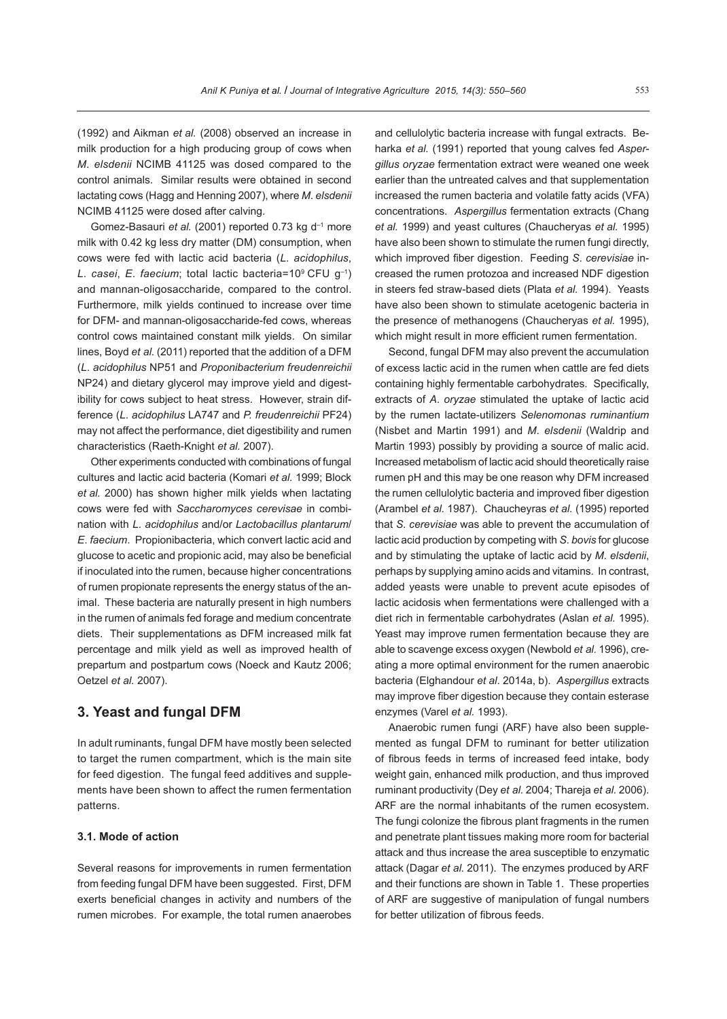(1992) and Aikman *et al.* (2008) observed an increase in milk production for a high producing group of cows when *M*. *elsdenii* NCIMB 41125 was dosed compared to the control animals. Similar results were obtained in second lactating cows (Hagg and Henning 2007), where *M*. *elsdenii*  NCIMB 41125 were dosed after calving.

Gomez-Basauri *et al.* (2001) reported 0.73 kg d–1 more milk with 0.42 kg less dry matter (DM) consumption, when cows were fed with lactic acid bacteria (*L*. *acidophilus*, *L*. *casei*, *E*. *faecium*; total lactic bacteria=109 CFU g–1) and mannan-oligosaccharide, compared to the control. Furthermore, milk yields continued to increase over time for DFM- and mannan-oligosaccharide-fed cows, whereas control cows maintained constant milk yields. On similar lines, Boyd *et al.* (2011) reported that the addition of a DFM (*L*. *acidophilus* NP51 and *Proponibacterium freudenreichii* NP24) and dietary glycerol may improve yield and digestibility for cows subject to heat stress. However, strain difference (*L*. *acidophilus* LA747 and *P. freudenreichii* PF24) may not affect the performance, diet digestibility and rumen characteristics (Raeth-Knight *et al.* 2007).

Other experiments conducted with combinations of fungal cultures and lactic acid bacteria (Komari *et al.* 1999; Block *et al.* 2000) has shown higher milk yields when lactating cows were fed with *Saccharomyces cerevisae* in combination with *L*. *acidophilus* and/or *Lactobacillus plantarum*/ *E*. *faecium*. Propionibacteria, which convert lactic acid and glucose to acetic and propionic acid, may also be beneficial if inoculated into the rumen, because higher concentrations of rumen propionate represents the energy status of the animal. These bacteria are naturally present in high numbers in the rumen of animals fed forage and medium concentrate diets. Their supplementations as DFM increased milk fat percentage and milk yield as well as improved health of prepartum and postpartum cows (Noeck and Kautz 2006; Oetzel *et al.* 2007).

## **3. Yeast and fungal DfM**

In adult ruminants, fungal DFM have mostly been selected to target the rumen compartment, which is the main site for feed digestion. The fungal feed additives and supplements have been shown to affect the rumen fermentation patterns.

#### **3.1. Mode of action**

Several reasons for improvements in rumen fermentation from feeding fungal DFM have been suggested. First, DFM exerts beneficial changes in activity and numbers of the rumen microbes. For example, the total rumen anaerobes and cellulolytic bacteria increase with fungal extracts. Beharka *et al.* (1991) reported that young calves fed *Aspergillus oryzae* fermentation extract were weaned one week earlier than the untreated calves and that supplementation increased the rumen bacteria and volatile fatty acids (VFA) concentrations. *Aspergillus* fermentation extracts (Chang *et al.* 1999) and yeast cultures (Chaucheryas *et al.* 1995) have also been shown to stimulate the rumen fungi directly, which improved fiber digestion. Feeding *S*. *cerevisiae* increased the rumen protozoa and increased NDF digestion in steers fed straw-based diets (Plata *et al.* 1994). Yeasts have also been shown to stimulate acetogenic bacteria in the presence of methanogens (Chaucheryas *et al.* 1995), which might result in more efficient rumen fermentation.

Second, fungal DFM may also prevent the accumulation of excess lactic acid in the rumen when cattle are fed diets containing highly fermentable carbohydrates. Specifically, extracts of *A*. *oryzae* stimulated the uptake of lactic acid by the rumen lactate-utilizers *Selenomonas ruminantium*  (Nisbet and Martin 1991) and *M*. *elsdenii* (Waldrip and Martin 1993) possibly by providing a source of malic acid. Increased metabolism of lactic acid should theoretically raise rumen pH and this may be one reason why DFM increased the rumen cellulolytic bacteria and improved fiber digestion (Arambel *et al.* 1987). Chaucheyras *et al.* (1995) reported that *S*. *cerevisiae* was able to prevent the accumulation of lactic acid production by competing with *S*. *bovis* for glucose and by stimulating the uptake of lactic acid by *M*. *elsdenii*, perhaps by supplying amino acids and vitamins. In contrast, added yeasts were unable to prevent acute episodes of lactic acidosis when fermentations were challenged with a diet rich in fermentable carbohydrates (Aslan *et al.* 1995). Yeast may improve rumen fermentation because they are able to scavenge excess oxygen (Newbold *et al.* 1996), creating a more optimal environment for the rumen anaerobic bacteria (Elghandour *et al*. 2014a, b). *Aspergillus* extracts may improve fiber digestion because they contain esterase enzymes (Varel *et al.* 1993).

Anaerobic rumen fungi (ARF) have also been supplemented as fungal DFM to ruminant for better utilization of fibrous feeds in terms of increased feed intake, body weight gain, enhanced milk production, and thus improved ruminant productivity (Dey *et al.* 2004; Thareja *et al.* 2006). ARF are the normal inhabitants of the rumen ecosystem. The fungi colonize the fibrous plant fragments in the rumen and penetrate plant tissues making more room for bacterial attack and thus increase the area susceptible to enzymatic attack (Dagar *et al.* 2011). The enzymes produced by ARF and their functions are shown in Table 1. These properties of ARF are suggestive of manipulation of fungal numbers for better utilization of fibrous feeds.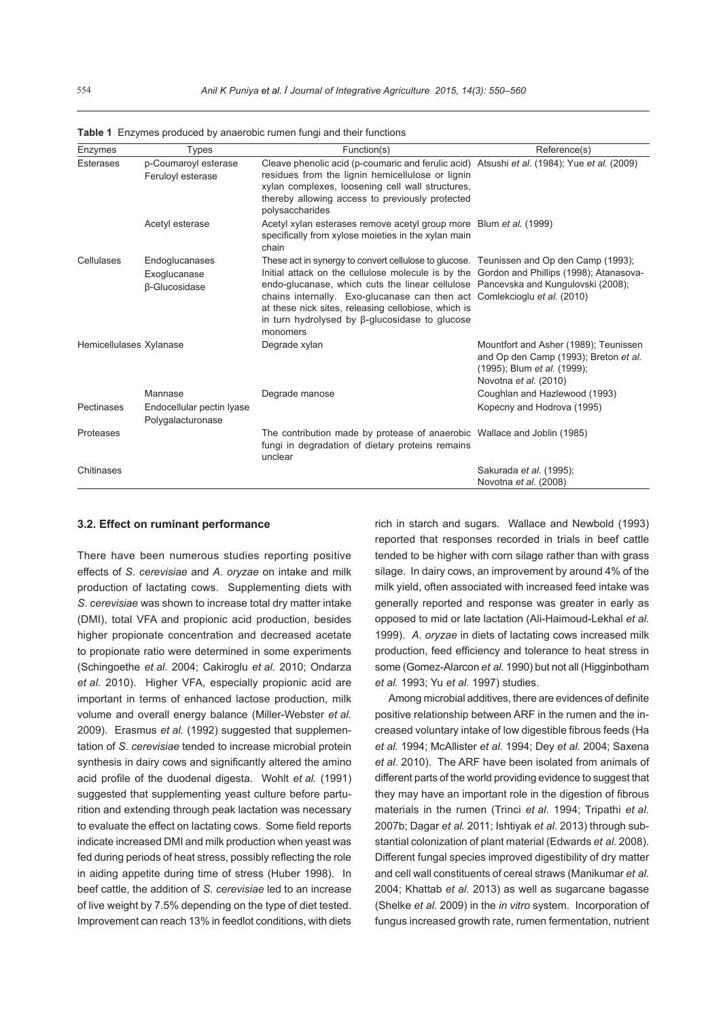| Enzymes                 | <b>Types</b>                                              | Function(s)                                                                                                                                                                                                                                                                                                                                                                                                                                                                       | Reference(s)                                                                                                                                  |
|-------------------------|-----------------------------------------------------------|-----------------------------------------------------------------------------------------------------------------------------------------------------------------------------------------------------------------------------------------------------------------------------------------------------------------------------------------------------------------------------------------------------------------------------------------------------------------------------------|-----------------------------------------------------------------------------------------------------------------------------------------------|
| <b>Esterases</b>        | p-Coumaroyl esterase<br>Feruloyl esterase                 | Cleave phenolic acid (p-coumaric and ferulic acid) Atsushi et al. (1984); Yue et al. (2009)<br>residues from the lignin hemicellulose or lignin<br>xylan complexes, loosening cell wall structures,<br>thereby allowing access to previously protected<br>polysaccharides                                                                                                                                                                                                         |                                                                                                                                               |
|                         | Acetyl esterase                                           | Acetyl xylan esterases remove acetyl group more Blum et al. (1999)<br>specifically from xylose moieties in the xylan main<br>chain                                                                                                                                                                                                                                                                                                                                                |                                                                                                                                               |
| Cellulases              | Endoglucanases<br>Exoglucanase<br>β-Glucosidase           | These act in synergy to convert cellulose to glucose. Teunissen and Op den Camp (1993);<br>Initial attack on the cellulose molecule is by the Gordon and Phillips (1998); Atanasova-<br>endo-glucanase, which cuts the linear cellulose Pancevska and Kungulovski (2008);<br>chains internally. Exo-glucanase can then act Comlekcioglu et al. (2010)<br>at these nick sites, releasing cellobiose, which is<br>in turn hydrolysed by $\beta$ -glucosidase to glucose<br>monomers |                                                                                                                                               |
| Hemicellulases Xylanase |                                                           | Degrade xylan                                                                                                                                                                                                                                                                                                                                                                                                                                                                     | Mountfort and Asher (1989); Teunissen<br>and Op den Camp (1993); Breton et al.<br>(1995); Blum et al. (1999);<br>Novotna <i>et al.</i> (2010) |
| Pectinases              | Mannase<br>Endocellular pectin Iyase<br>Polygalacturonase | Degrade manose                                                                                                                                                                                                                                                                                                                                                                                                                                                                    | Coughlan and Hazlewood (1993)<br>Kopecny and Hodrova (1995)                                                                                   |
| Proteases               |                                                           | The contribution made by protease of anaerobic Wallace and Joblin (1985)<br>fungi in degradation of dietary proteins remains<br>unclear                                                                                                                                                                                                                                                                                                                                           |                                                                                                                                               |
| Chitinases              |                                                           |                                                                                                                                                                                                                                                                                                                                                                                                                                                                                   | Sakurada et al. (1995);<br>Novotna et al. (2008)                                                                                              |

**Table 1** Enzymes produced by anaerobic rumen fungi and their functions

#### **3.2. Effect on ruminant performance**

There have been numerous studies reporting positive effects of *S*. *cerevisiae* and *A*. *oryzae* on intake and milk production of lactating cows. Supplementing diets with *S*. *cerevisiae* was shown to increase total dry matter intake (DMI), total VFA and propionic acid production, besides higher propionate concentration and decreased acetate to propionate ratio were determined in some experiments (Schingoethe *et al.* 2004; Cakiroglu *et al.* 2010; Ondarza *et al.* 2010). Higher VFA, especially propionic acid are important in terms of enhanced lactose production, milk volume and overall energy balance (Miller-Webster *et al.* 2009). Erasmus *et al.* (1992) suggested that supplementation of *S*. *cerevisiae* tended to increase microbial protein synthesis in dairy cows and significantly altered the amino acid profile of the duodenal digesta. Wohlt *et al.* (1991) suggested that supplementing yeast culture before parturition and extending through peak lactation was necessary to evaluate the effect on lactating cows. Some field reports indicate increased DMI and milk production when yeast was fed during periods of heat stress, possibly reflecting the role in aiding appetite during time of stress (Huber 1998). In beef cattle, the addition of *S*. *cerevisiae* led to an increase of live weight by 7.5% depending on the type of diet tested. Improvement can reach 13% in feedlot conditions, with diets rich in starch and sugars. Wallace and Newbold (1993) reported that responses recorded in trials in beef cattle tended to be higher with corn silage rather than with grass silage. In dairy cows, an improvement by around 4% of the milk yield, often associated with increased feed intake was generally reported and response was greater in early as opposed to mid or late lactation (Ali-Haimoud-Lekhal *et al.* 1999). *A*. *oryzae* in diets of lactating cows increased milk production, feed efficiency and tolerance to heat stress in some (Gomez-Alarcon *et al.* 1990) but not all (Higginbotham *et al.* 1993; Yu *et al.* 1997) studies.

Among microbial additives, there are evidences of definite positive relationship between ARF in the rumen and the increased voluntary intake of low digestible fibrous feeds (Ha *et al.* 1994; McAllister *et al.* 1994; Dey *et al.* 2004; Saxena *et al.* 2010). The ARF have been isolated from animals of different parts of the world providing evidence to suggest that they may have an important role in the digestion of fibrous materials in the rumen (Trinci *et al.* 1994; Tripathi *et al.* 2007b; Dagar *et al.* 2011; Ishtiyak *et al.* 2013) through substantial colonization of plant material (Edwards *et al.* 2008). Different fungal species improved digestibility of dry matter and cell wall constituents of cereal straws (Manikumar *et al.* 2004; Khattab *et al*. 2013) as well as sugarcane bagasse (Shelke *et al.* 2009) in the *in vitro* system. Incorporation of fungus increased growth rate, rumen fermentation, nutrient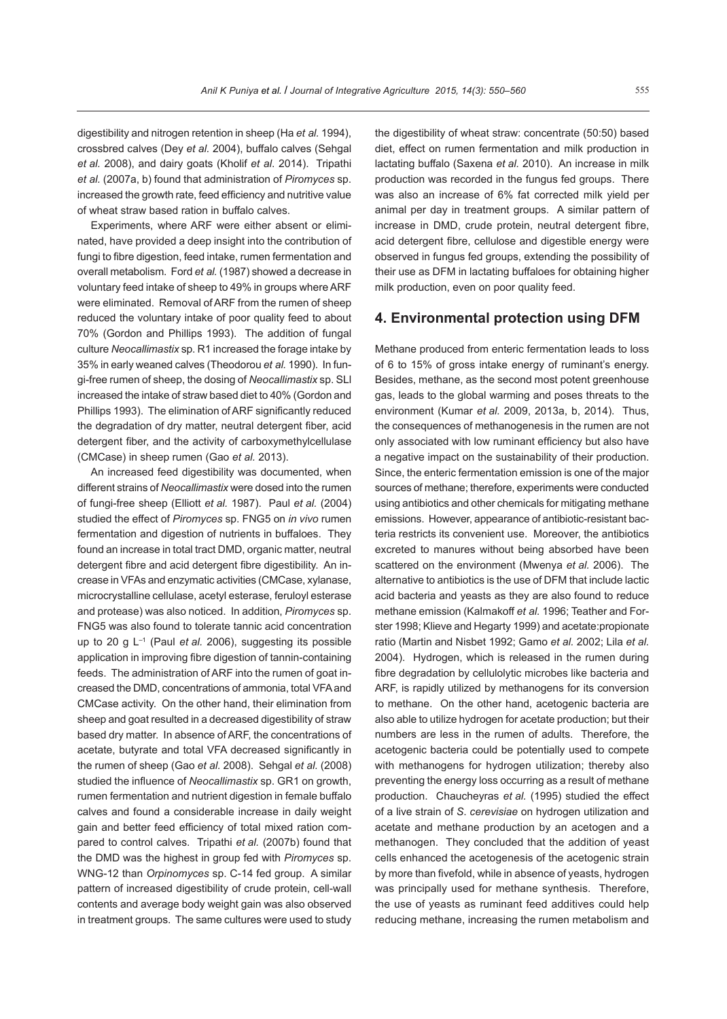digestibility and nitrogen retention in sheep (Ha *et al.* 1994), crossbred calves (Dey *et al.* 2004), buffalo calves (Sehgal *et al.* 2008), and dairy goats (Kholif *et al*. 2014). Tripathi *et al.* (2007a, b) found that administration of *Piromyces* sp. increased the growth rate, feed efficiency and nutritive value of wheat straw based ration in buffalo calves.

Experiments, where ARF were either absent or eliminated, have provided a deep insight into the contribution of fungi to fibre digestion, feed intake, rumen fermentation and overall metabolism. Ford *et al.* (1987) showed a decrease in voluntary feed intake of sheep to 49% in groups where ARF were eliminated. Removal of ARF from the rumen of sheep reduced the voluntary intake of poor quality feed to about 70% (Gordon and Phillips 1993). The addition of fungal culture *Neocallimastix* sp. R1 increased the forage intake by 35% in early weaned calves (Theodorou *et al.* 1990). In fungi-free rumen of sheep, the dosing of *Neocallimastix* sp. SLl increased the intake of straw based diet to 40% (Gordon and Phillips 1993). The elimination of ARF significantly reduced the degradation of dry matter, neutral detergent fiber, acid detergent fiber, and the activity of carboxymethylcellulase (CMCase) in sheep rumen (Gao *et al.* 2013).

An increased feed digestibility was documented, when different strains of *Neocallimastix* were dosed into the rumen of fungi-free sheep (Elliott *et al.* 1987). Paul *et al.* (2004) studied the effect of *Piromyces* sp. FNG5 on *in vivo* rumen fermentation and digestion of nutrients in buffaloes. They found an increase in total tract DMD, organic matter, neutral detergent fibre and acid detergent fibre digestibility. An increase in VFAs and enzymatic activities (CMCase, xylanase, microcrystalline cellulase, acetyl esterase, feruloyl esterase and protease) was also noticed. In addition, *Piromyces* sp. FNG5 was also found to tolerate tannic acid concentration up to 20 g L–1 (Paul *et al.* 2006), suggesting its possible application in improving fibre digestion of tannin-containing feeds. The administration of ARF into the rumen of goat increased the DMD, concentrations of ammonia, total VFA and CMCase activity. On the other hand, their elimination from sheep and goat resulted in a decreased digestibility of straw based dry matter. In absence of ARF, the concentrations of acetate, butyrate and total VFA decreased significantly in the rumen of sheep (Gao *et al.* 2008). Sehgal *et al.* (2008) studied the influence of *Neocallimastix* sp. GR1 on growth, rumen fermentation and nutrient digestion in female buffalo calves and found a considerable increase in daily weight gain and better feed efficiency of total mixed ration compared to control calves. Tripathi *et al.* (2007b) found that the DMD was the highest in group fed with *Piromyces* sp. WNG-12 than *Orpinomyces* sp. C-14 fed group. A similar pattern of increased digestibility of crude protein, cell-wall contents and average body weight gain was also observed in treatment groups. The same cultures were used to study

the digestibility of wheat straw: concentrate (50:50) based diet, effect on rumen fermentation and milk production in lactating buffalo (Saxena *et al.* 2010). An increase in milk production was recorded in the fungus fed groups. There was also an increase of 6% fat corrected milk yield per animal per day in treatment groups. A similar pattern of increase in DMD, crude protein, neutral detergent fibre, acid detergent fibre, cellulose and digestible energy were observed in fungus fed groups, extending the possibility of their use as DFM in lactating buffaloes for obtaining higher milk production, even on poor quality feed.

#### **4. Environmental protection using DfM**

Methane produced from enteric fermentation leads to loss of 6 to 15% of gross intake energy of ruminant's energy. Besides, methane, as the second most potent greenhouse gas, leads to the global warming and poses threats to the environment (Kumar *et al.* 2009, 2013a, b, 2014). Thus, the consequences of methanogenesis in the rumen are not only associated with low ruminant efficiency but also have a negative impact on the sustainability of their production. Since, the enteric fermentation emission is one of the major sources of methane; therefore, experiments were conducted using antibiotics and other chemicals for mitigating methane emissions. However, appearance of antibiotic-resistant bacteria restricts its convenient use. Moreover, the antibiotics excreted to manures without being absorbed have been scattered on the environment (Mwenya *et al.* 2006). The alternative to antibiotics is the use of DFM that include lactic acid bacteria and yeasts as they are also found to reduce methane emission (Kalmakoff *et al.* 1996; Teather and Forster 1998; Klieve and Hegarty 1999) and acetate:propionate ratio (Martin and Nisbet 1992; Gamo *et al.* 2002; Lila *et al.* 2004). Hydrogen, which is released in the rumen during fibre degradation by cellulolytic microbes like bacteria and ARF, is rapidly utilized by methanogens for its conversion to methane. On the other hand, acetogenic bacteria are also able to utilize hydrogen for acetate production; but their numbers are less in the rumen of adults. Therefore, the acetogenic bacteria could be potentially used to compete with methanogens for hydrogen utilization; thereby also preventing the energy loss occurring as a result of methane production. Chaucheyras *et al.* (1995) studied the effect of a live strain of *S*. *cerevisiae* on hydrogen utilization and acetate and methane production by an acetogen and a methanogen. They concluded that the addition of yeast cells enhanced the acetogenesis of the acetogenic strain by more than fivefold, while in absence of yeasts, hydrogen was principally used for methane synthesis. Therefore, the use of yeasts as ruminant feed additives could help reducing methane, increasing the rumen metabolism and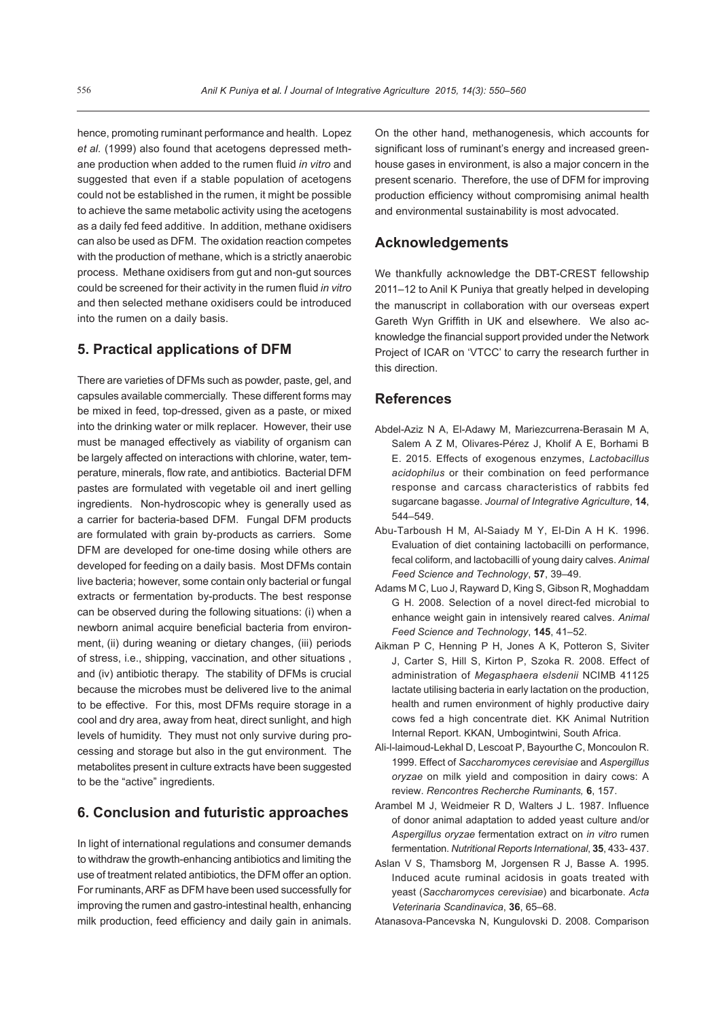hence, promoting ruminant performance and health. Lopez *et al.* (1999) also found that acetogens depressed methane production when added to the rumen fluid *in vitro* and suggested that even if a stable population of acetogens could not be established in the rumen, it might be possible to achieve the same metabolic activity using the acetogens as a daily fed feed additive. In addition, methane oxidisers can also be used as DFM. The oxidation reaction competes with the production of methane, which is a strictly anaerobic process. Methane oxidisers from gut and non-gut sources could be screened for their activity in the rumen fluid *in vitro*  and then selected methane oxidisers could be introduced into the rumen on a daily basis.

## **5. Practical applications of DfM**

There are varieties of DFMs such as powder, paste, gel, and capsules available commercially. These different forms may be mixed in feed, top-dressed, given as a paste, or mixed into the drinking water or milk replacer. However, their use must be managed effectively as viability of organism can be largely affected on interactions with chlorine, water, temperature, minerals, flow rate, and antibiotics. Bacterial DFM pastes are formulated with vegetable oil and inert gelling ingredients. Non-hydroscopic whey is generally used as a carrier for bacteria-based DFM. Fungal DFM products are formulated with grain by-products as carriers. Some DFM are developed for one-time dosing while others are developed for feeding on a daily basis. Most DFMs contain live bacteria; however, some contain only bacterial or fungal extracts or fermentation by-products. The best response can be observed during the following situations: (i) when a newborn animal acquire beneficial bacteria from environment, (ii) during weaning or dietary changes, (iii) periods of stress, i.e., shipping, vaccination, and other situations , and (iv) antibiotic therapy. The stability of DFMs is crucial because the microbes must be delivered live to the animal to be effective. For this, most DFMs require storage in a cool and dry area, away from heat, direct sunlight, and high levels of humidity. They must not only survive during processing and storage but also in the gut environment. The metabolites present in culture extracts have been suggested to be the "active" ingredients.

#### **6. Conclusion and futuristic approaches**

In light of international regulations and consumer demands to withdraw the growth-enhancing antibiotics and limiting the use of treatment related antibiotics, the DFM offer an option. For ruminants, ARF as DFM have been used successfully for improving the rumen and gastro-intestinal health, enhancing milk production, feed efficiency and daily gain in animals.

On the other hand, methanogenesis, which accounts for significant loss of ruminant's energy and increased greenhouse gases in environment, is also a major concern in the present scenario. Therefore, the use of DFM for improving production efficiency without compromising animal health and environmental sustainability is most advocated.

## **Acknowledgements**

We thankfully acknowledge the DBT-CREST fellowship 2011–12 to Anil K Puniya that greatly helped in developing the manuscript in collaboration with our overseas expert Gareth Wyn Griffith in UK and elsewhere. We also acknowledge the financial support provided under the Network Project of ICAR on 'VTCC' to carry the research further in this direction.

#### **References**

- Abdel-Aziz N A, El-Adawy M, Mariezcurrena-Berasain M A, Salem A Z M, Olivares-Pérez J, Kholif A E, Borhami B E. 2015. Effects of exogenous enzymes, *Lactobacillus acidophilus* or their combination on feed performance response and carcass characteristics of rabbits fed sugarcane bagasse. *Journal of Integrative Agriculture*, **14**, 544–549.
- Abu-Tarboush H M, Al-Saiady M Y, El-Din A H K. 1996. Evaluation of diet containing lactobacilli on performance, fecal coliform, and lactobacilli of young dairy calves. *Animal Feed Science and Technology*, **57**, 39–49.
- Adams M C, Luo J, Rayward D, King S, Gibson R, Moghaddam G H. 2008. Selection of a novel direct-fed microbial to enhance weight gain in intensively reared calves. *Animal Feed Science and Technology*, **145**, 41–52.
- Aikman P C, Henning P H, Jones A K, Potteron S, Siviter J, Carter S, Hill S, Kirton P, Szoka R. 2008. Effect of administration of *Megasphaera elsdenii* NCIMB 41125 lactate utilising bacteria in early lactation on the production, health and rumen environment of highly productive dairy cows fed a high concentrate diet. KK Animal Nutrition Internal Report. KKAN, Umbogintwini, South Africa.
- Ali-l-laimoud-Lekhal D, Lescoat P, Bayourthe C, Moncoulon R. 1999. Effect of *Saccharomyces cerevisiae* and *Aspergillus oryzae* on milk yield and composition in dairy cows: A review. *Rencontres Recherche Ruminants,* **6**, 157.
- Arambel M J, Weidmeier R D, Walters J L. 1987. Influence of donor animal adaptation to added yeast culture and/or *Aspergillus oryzae* fermentation extract on *in vitro* rumen fermentation. *Nutritional Reports International*, **35**, 433- 437.
- Aslan V S, Thamsborg M, Jorgensen R J, Basse A. 1995. Induced acute ruminal acidosis in goats treated with yeast (*Saccharomyces cerevisiae*) and bicarbonate. *Acta Veterinaria Scandinavica*, **36**, 65–68.

Atanasova-Pancevska N, Kungulovski D. 2008. Comparison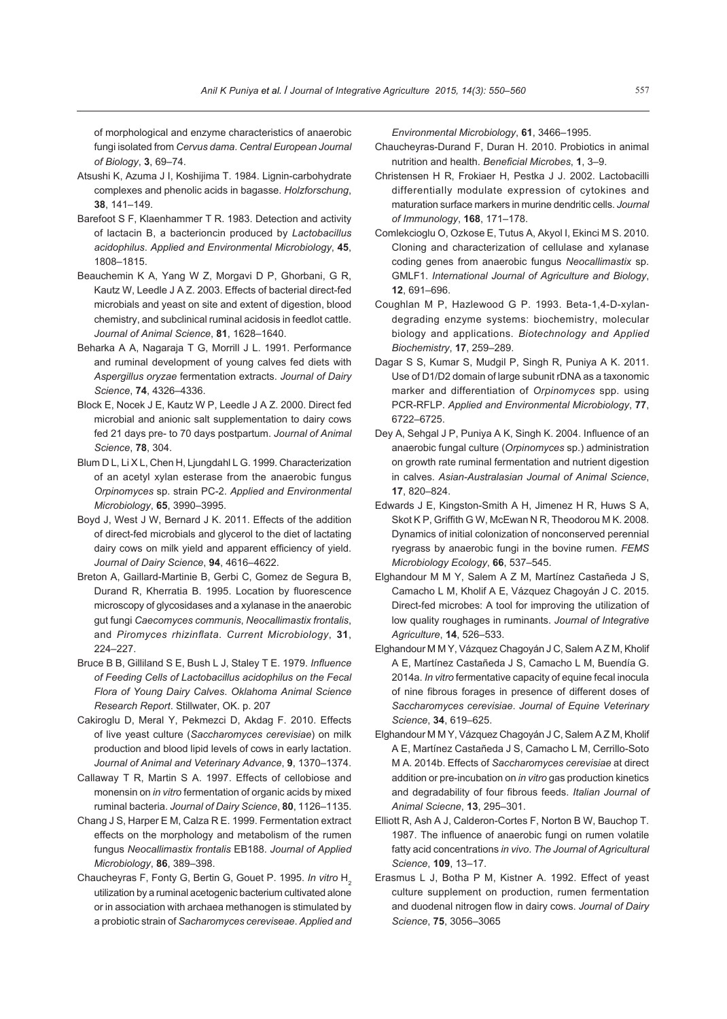of morphological and enzyme characteristics of anaerobic fungi isolated from *Cervus dama*. *Central European Journal of Biology*, **3**, 69–74.

- Atsushi K, Azuma J I, Koshijima T. 1984. Lignin-carbohydrate complexes and phenolic acids in bagasse. *Holzforschung*, **38**, 141–149.
- Barefoot S F, Klaenhammer T R. 1983. Detection and activity of lactacin B, a bacterioncin produced by *Lactobacillus acidophilus*. *Applied and Environmental Microbiology*, **45**, 1808–1815.
- Beauchemin K A, Yang W Z, Morgavi D P, Ghorbani, G R, Kautz W, Leedle J A Z. 2003. Effects of bacterial direct-fed microbials and yeast on site and extent of digestion, blood chemistry, and subclinical ruminal acidosis in feedlot cattle. *Journal of Animal Science*, **81**, 1628–1640.
- Beharka A A, Nagaraja T G, Morrill J L. 1991. Performance and ruminal development of young calves fed diets with *Aspergillus oryzae* fermentation extracts. *Journal of Dairy Science*, **74**, 4326–4336.
- Block E, Nocek J E, Kautz W P, Leedle J A Z. 2000. Direct fed microbial and anionic salt supplementation to dairy cows fed 21 days pre- to 70 days postpartum. *Journal of Animal Science*, **78**, 304.
- Blum D L, Li X L, Chen H, Ljungdahl L G. 1999. Characterization of an acetyl xylan esterase from the anaerobic fungus *Orpinomyces* sp. strain PC-2. *Applied and Environmental Microbiology*, **65**, 3990–3995.
- Boyd J, West J W, Bernard J K. 2011. Effects of the addition of direct-fed microbials and glycerol to the diet of lactating dairy cows on milk yield and apparent efficiency of yield. *Journal of Dairy Science*, **94**, 4616–4622.
- Breton A, Gaillard-Martinie B, Gerbi C, Gomez de Segura B, Durand R, Kherratia B. 1995. Location by fluorescence microscopy of glycosidases and a xylanase in the anaerobic gut fungi *Caecomyces communis*, *Neocallimastix frontalis*, and *Piromyces rhizinflata*. *Current Microbiology*, **31**, 224–227.
- Bruce B B, Gilliland S E, Bush L J, Staley T E. 1979. *Influence of Feeding Cells of Lactobacillus acidophilus on the Fecal Flora of Young Dairy Calves*. *Oklahoma Animal Science Research Report*. Stillwater, OK. p. 207
- Cakiroglu D, Meral Y, Pekmezci D, Akdag F. 2010. Effects of live yeast culture (*Saccharomyces cerevisiae*) on milk production and blood lipid levels of cows in early lactation. *Journal of Animal and Veterinary Advance*, **9**, 1370–1374.
- Callaway T R, Martin S A. 1997. Effects of cellobiose and monensin on *in vitro* fermentation of organic acids by mixed ruminal bacteria. *Journal of Dairy Science*, **80**, 1126–1135.
- Chang J S, Harper E M, Calza R E. 1999. Fermentation extract effects on the morphology and metabolism of the rumen fungus *Neocallimastix frontalis* EB188. *Journal of Applied Microbiology*, **86**, 389–398.
- Chaucheyras F, Fonty G, Bertin G, Gouet P. 1995. In vitro H<sub>2</sub> utilization by a ruminal acetogenic bacterium cultivated alone or in association with archaea methanogen is stimulated by a probiotic strain of *Sacharomyces cereviseae*. *Applied and*

*Environmental Microbiology*, **61**, 3466–1995.

- Chaucheyras-Durand F, Duran H. 2010. Probiotics in animal nutrition and health. *Beneficial Microbes*, **1**, 3–9.
- Christensen H R, Frokiaer H, Pestka J J. 2002. Lactobacilli differentially modulate expression of cytokines and maturation surface markers in murine dendritic cells. *Journal of Immunology*, **168**, 171–178.
- Comlekcioglu O, Ozkose E, Tutus A, Akyol I, Ekinci M S. 2010. Cloning and characterization of cellulase and xylanase coding genes from anaerobic fungus *Neocallimastix* sp. GMLF1. *International Journal of Agriculture and Biology*, **12**, 691–696.
- Coughlan M P, Hazlewood G P. 1993. Beta-1,4-D-xylandegrading enzyme systems: biochemistry, molecular biology and applications. *Biotechnology and Applied Biochemistry*, **17**, 259–289.
- Dagar S S, Kumar S, Mudgil P, Singh R, Puniya A K. 2011. Use of D1/D2 domain of large subunit rDNA as a taxonomic marker and differentiation of *Orpinomyces* spp. using PCR-RFLP. *Applied and Environmental Microbiology*, **77**, 6722–6725.
- Dey A, Sehgal J P, Puniya A K, Singh K. 2004. Influence of an anaerobic fungal culture (*Orpinomyces* sp.) administration on growth rate ruminal fermentation and nutrient digestion in calves. *Asian-Australasian Journal of Animal Science*, **17**, 820–824.
- Edwards J E, Kingston-Smith A H, Jimenez H R, Huws S A, Skot K P, Griffith G W, McEwan N R, Theodorou M K. 2008. Dynamics of initial colonization of nonconserved perennial ryegrass by anaerobic fungi in the bovine rumen. *FEMS Microbiology Ecology*, **66**, 537–545.
- Elghandour M M Y, Salem A Z M, Martínez Castañeda J S, Camacho L M, Kholif A E, Vázquez Chagoyán J C. 2015. Direct-fed microbes: A tool for improving the utilization of low quality roughages in ruminants. *Journal of Integrative Agriculture*, **14**, 526–533.
- Elghandour M M Y, Vázquez Chagoyán J C, Salem A Z M, Kholif A E, Martínez Castañeda J S, Camacho L M, Buendía G. 2014a. *In vitro* fermentative capacity of equine fecal inocula of nine fibrous forages in presence of different doses of *Saccharomyces cerevisiae*. *Journal of Equine Veterinary Science*, **34**, 619–625.
- Elghandour M M Y, Vázquez Chagoyán J C, Salem A Z M, Kholif A E, Martínez Castañeda J S, Camacho L M, Cerrillo-Soto M A. 2014b. Effects of *Saccharomyces cerevisiae* at direct addition or pre-incubation on *in vitro* gas production kinetics and degradability of four fibrous feeds. *Italian Journal of Animal Sciecne*, **13**, 295–301.
- Elliott R, Ash A J, Calderon-Cortes F, Norton B W, Bauchop T. 1987. The influence of anaerobic fungi on rumen volatile fatty acid concentrations *in vivo*. *The Journal of Agricultural Science*, **109**, 13–17.
- Erasmus L J, Botha P M, Kistner A. 1992. Effect of yeast culture supplement on production, rumen fermentation and duodenal nitrogen flow in dairy cows. *Journal of Dairy Science*, **75**, 3056–3065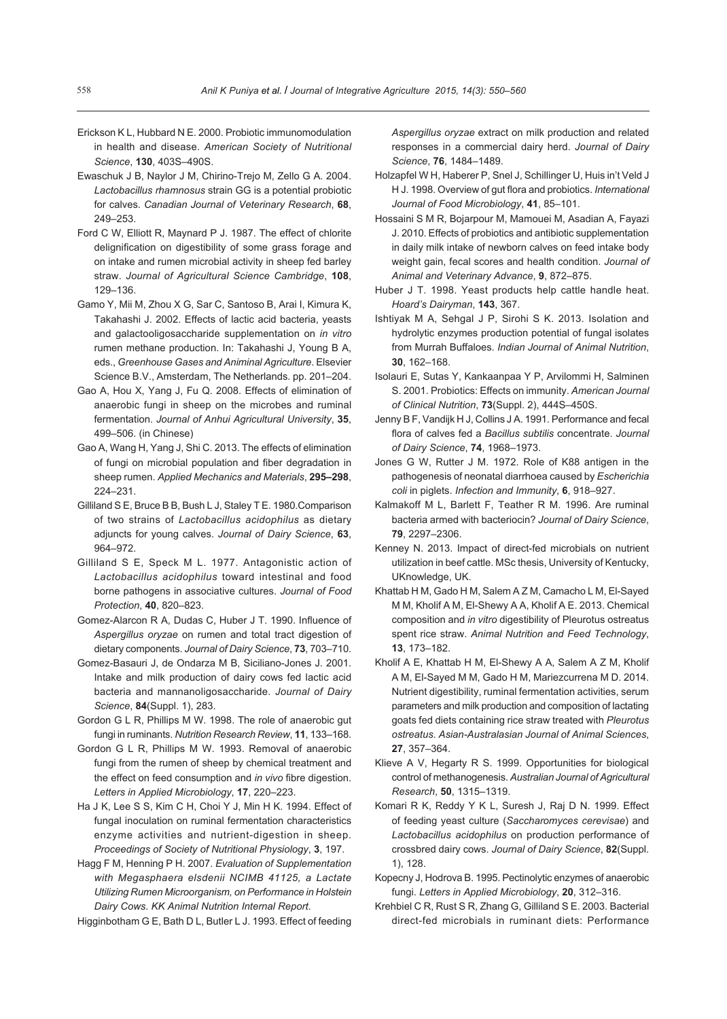- Erickson K L, Hubbard N E. 2000. Probiotic immunomodulation in health and disease. *American Society of Nutritional Science*, **130**, 403S–490S.
- Ewaschuk J B, Naylor J M, Chirino-Trejo M, Zello G A. 2004. *Lactobacillus rhamnosus* strain GG is a potential probiotic for calves. *Canadian Journal of Veterinary Research*, **68**, 249–253.
- Ford C W, Elliott R, Maynard P J. 1987. The effect of chlorite delignification on digestibility of some grass forage and on intake and rumen microbial activity in sheep fed barley straw. *Journal of Agricultural Science Cambridge*, **108**, 129–136.
- Gamo Y, Mii M, Zhou X G, Sar C, Santoso B, Arai I, Kimura K, Takahashi J. 2002. Effects of lactic acid bacteria, yeasts and galactooligosaccharide supplementation on *in vitro* rumen methane production. In: Takahashi J, Young B A, eds., *Greenhouse Gases and Animinal Agriculture*. Elsevier Science B.V., Amsterdam, The Netherlands. pp. 201–204.
- Gao A, Hou X, Yang J, Fu Q. 2008. Effects of elimination of anaerobic fungi in sheep on the microbes and ruminal fermentation. *Journal of Anhui Agricultural University*, **35**, 499–506. (in Chinese)
- Gao A, Wang H, Yang J, Shi C. 2013. The effects of elimination of fungi on microbial population and fiber degradation in sheep rumen. *Applied Mechanics and Materials*, **295–298**, 224–231.
- Gilliland S E, Bruce B B, Bush L J, Staley T E. 1980.Comparison of two strains of *Lactobacillus acidophilus* as dietary adjuncts for young calves. *Journal of Dairy Science*, **63**, 964–972.
- Gilliland S E, Speck M L. 1977. Antagonistic action of *Lactobacillus acidophilus* toward intestinal and food borne pathogens in associative cultures. *Journal of Food Protection*, **40**, 820–823.
- Gomez-Alarcon R A, Dudas C, Huber J T. 1990. Influence of *Aspergillus oryzae* on rumen and total tract digestion of dietary components. *Journal of Dairy Science*, **73**, 703–710.
- Gomez-Basauri J, de Ondarza M B, Siciliano-Jones J. 2001. Intake and milk production of dairy cows fed lactic acid bacteria and mannanoligosaccharide. *Journal of Dairy Science*, **84**(Suppl. 1), 283.
- Gordon G L R, Phillips M W. 1998. The role of anaerobic gut fungi in ruminants. *Nutrition Research Review*, **11**, 133–168.
- Gordon G L R, Phillips M W. 1993. Removal of anaerobic fungi from the rumen of sheep by chemical treatment and the effect on feed consumption and *in vivo* fibre digestion. *Letters in Applied Microbiology*, **17**, 220–223.
- Ha J K, Lee S S, Kim C H, Choi Y J, Min H K. 1994. Effect of fungal inoculation on ruminal fermentation characteristics enzyme activities and nutrient-digestion in sheep. *Proceedings of Society of Nutritional Physiology*, **3**, 197.
- Hagg F M, Henning P H. 2007. *Evaluation of Supplementation with Megasphaera elsdenii NCIMB 41125, a Lactate Utilizing Rumen Microorganism, on Performance in Holstein Dairy Cows*. *KK Animal Nutrition Internal Report*.

Higginbotham G E, Bath D L, Butler L J. 1993. Effect of feeding

*Aspergillus oryzae* extract on milk production and related responses in a commercial dairy herd. *Journal of Dairy Science*, **76**, 1484–1489.

- Holzapfel W H, Haberer P, Snel J, Schillinger U, Huis in't Veld J H J. 1998. Overview of gut flora and probiotics. *International Journal of Food Microbiology*, **41**, 85–101.
- Hossaini S M R, Bojarpour M, Mamouei M, Asadian A, Fayazi J. 2010. Effects of probiotics and antibiotic supplementation in daily milk intake of newborn calves on feed intake body weight gain, fecal scores and health condition. *Journal of Animal and Veterinary Advance*, **9**, 872–875.
- Huber J T. 1998. Yeast products help cattle handle heat. *Hoard's Dairyman*, **143**, 367.
- Ishtiyak M A, Sehgal J P, Sirohi S K. 2013. Isolation and hydrolytic enzymes production potential of fungal isolates from Murrah Buffaloes. *Indian Journal of Animal Nutrition*, **30**, 162–168.
- Isolauri E, Sutas Y, Kankaanpaa Y P, Arvilommi H, Salminen S. 2001. Probiotics: Effects on immunity. *American Journal of Clinical Nutrition*, **73**(Suppl. 2), 444S–450S.
- Jenny B F, Vandijk H J, Collins J A. 1991. Performance and fecal flora of calves fed a *Bacillus subtilis* concentrate. *Journal of Dairy Science*, **74**, 1968–1973.
- Jones G W, Rutter J M. 1972. Role of K88 antigen in the pathogenesis of neonatal diarrhoea caused by *Escherichia coli* in piglets. *Infection and Immunity*, **6**, 918–927.
- Kalmakoff M L, Barlett F, Teather R M. 1996. Are ruminal bacteria armed with bacteriocin? *Journal of Dairy Science*, **79**, 2297–2306.
- Kenney N. 2013. Impact of direct-fed microbials on nutrient utilization in beef cattle. MSc thesis, University of Kentucky, UKnowledge, UK.
- Khattab H M, Gado H M, Salem A Z M, Camacho L M, El-Sayed M M, Kholif A M, El-Shewy A A, Kholif A E. 2013. Chemical composition and *in vitro* digestibility of Pleurotus ostreatus spent rice straw. *Animal Nutrition and Feed Technology*, **13**, 173–182.
- Kholif A E, Khattab H M, El-Shewy A A, Salem A Z M, Kholif A M, El-Sayed M M, Gado H M, Mariezcurrena M D. 2014. Nutrient digestibility, ruminal fermentation activities, serum parameters and milk production and composition of lactating goats fed diets containing rice straw treated with *Pleurotus ostreatus*. *Asian-Australasian Journal of Animal Sciences*, **27**, 357–364.
- Klieve A V, Hegarty R S. 1999. Opportunities for biological control of methanogenesis. *Australian Journal of Agricultural Research*, **50**, 1315–1319.
- Komari R K, Reddy Y K L, Suresh J, Raj D N. 1999. Effect of feeding yeast culture (*Saccharomyces cerevisae*) and *Lactobacillus acidophilus* on production performance of crossbred dairy cows. *Journal of Dairy Science*, **82**(Suppl. 1), 128.
- Kopecny J, Hodrova B. 1995. Pectinolytic enzymes of anaerobic fungi. *Letters in Applied Microbiology*, **20**, 312–316.
- Krehbiel C R, Rust S R, Zhang G, Gilliland S E. 2003. Bacterial direct-fed microbials in ruminant diets: Performance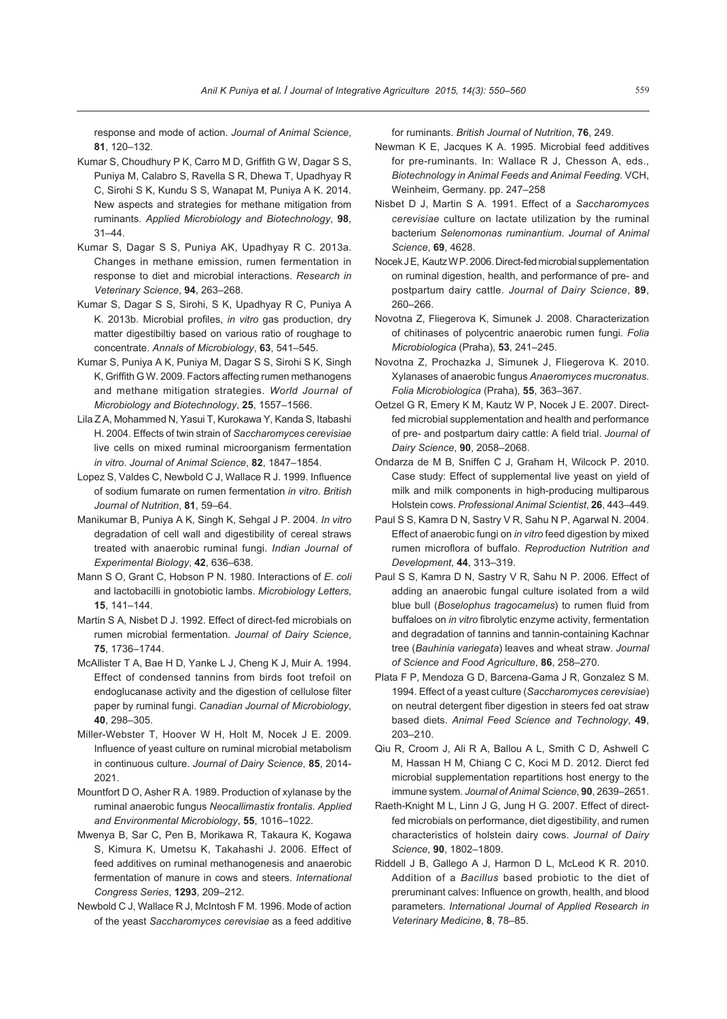response and mode of action. *Journal of Animal Science*, **81**, 120–132.

- Kumar S, Choudhury P K, Carro M D, Griffith G W, Dagar S S, Puniya M, Calabro S, Ravella S R, Dhewa T, Upadhyay R C, Sirohi S K, Kundu S S, Wanapat M, Puniya A K. 2014. New aspects and strategies for methane mitigation from ruminants. *Applied Microbiology and Biotechnology*, **98**, 31–44.
- Kumar S, Dagar S S, Puniya AK, Upadhyay R C. 2013a. Changes in methane emission, rumen fermentation in response to diet and microbial interactions. *Research in Veterinary Science*, **94**, 263–268.
- Kumar S, Dagar S S, Sirohi, S K, Upadhyay R C, Puniya A K. 2013b. Microbial profiles, *in vitro* gas production, dry matter digestibiltiy based on various ratio of roughage to concentrate. *Annals of Microbiology*, **63**, 541–545.
- Kumar S, Puniya A K, Puniya M, Dagar S S, Sirohi S K, Singh K, Griffith G W. 2009. Factors affecting rumen methanogens and methane mitigation strategies. *World Journal of Microbiology and Biotechnology*, **25**, 1557–1566.
- Lila Z A, Mohammed N, Yasui T, Kurokawa Y, Kanda S, Itabashi H. 2004. Effects of twin strain of *Saccharomyces cerevisiae*  live cells on mixed ruminal microorganism fermentation *in vitro*. *Journal of Animal Science*, **82**, 1847–1854.
- Lopez S, Valdes C, Newbold C J, Wallace R J. 1999. Influence of sodium fumarate on rumen fermentation *in vitro*. *British Journal of Nutrition*, **81**, 59–64.
- Manikumar B, Puniya A K, Singh K, Sehgal J P. 2004. *In vitro* degradation of cell wall and digestibility of cereal straws treated with anaerobic ruminal fungi. *Indian Journal of Experimental Biology*, **42**, 636–638.
- Mann S O, Grant C, Hobson P N. 1980. Interactions of *E*. *coli*  and lactobacilli in gnotobiotic lambs. *Microbiology Letters*, **15**, 141–144.
- Martin S A, Nisbet D J. 1992. Effect of direct-fed microbials on rumen microbial fermentation. *Journal of Dairy Science*, **75**, 1736–1744.
- McAllister T A, Bae H D, Yanke L J, Cheng K J, Muir A. 1994. Effect of condensed tannins from birds foot trefoil on endoglucanase activity and the digestion of cellulose filter paper by ruminal fungi. *Canadian Journal of Microbiology*, **40**, 298–305.
- Miller-Webster T, Hoover W H, Holt M, Nocek J E. 2009. Influence of yeast culture on ruminal microbial metabolism in continuous culture. *Journal of Dairy Science*, **85**, 2014- 2021.
- Mountfort D O, Asher R A. 1989. Production of xylanase by the ruminal anaerobic fungus *Neocallimastix frontalis*. *Applied and Environmental Microbiology*, **55**, 1016–1022.
- Mwenya B, Sar C, Pen B, Morikawa R, Takaura K, Kogawa S, Kimura K, Umetsu K, Takahashi J. 2006. Effect of feed additives on ruminal methanogenesis and anaerobic fermentation of manure in cows and steers. *International Congress Series*, **1293**, 209–212.
- Newbold C J, Wallace R J, McIntosh F M. 1996. Mode of action of the yeast *Saccharomyces cerevisiae* as a feed additive

for ruminants. *British Journal of Nutrition*, **76**, 249.

- Newman K E, Jacques K A. 1995. Microbial feed additives for pre-ruminants. In: Wallace R J, Chesson A, eds., *Biotechnology in Animal Feeds and Animal Feeding*. VCH, Weinheim, Germany. pp. 247–258
- Nisbet D J, Martin S A. 1991. Effect of a *Saccharomyces cerevisiae* culture on lactate utilization by the ruminal bacterium *Selenomonas ruminantium*. *Journal of Animal Science*, **69**, 4628.
- Nocek J E, Kautz W P. 2006. Direct-fed microbial supplementation on ruminal digestion, health, and performance of pre- and postpartum dairy cattle. *Journal of Dairy Science*, **89**, 260–266.
- Novotna Z, Fliegerova K, Simunek J. 2008. Characterization of chitinases of polycentric anaerobic rumen fungi. *Folia Microbiologica* (Praha), **53**, 241–245.
- Novotna Z, Prochazka J, Simunek J, Fliegerova K. 2010. Xylanases of anaerobic fungus *Anaeromyces mucronatus*. *Folia Microbiologica* (Praha), **55**, 363–367.
- Oetzel G R, Emery K M, Kautz W P, Nocek J E. 2007. Directfed microbial supplementation and health and performance of pre- and postpartum dairy cattle: A field trial. *Journal of Dairy Science*, **90**, 2058–2068.
- Ondarza de M B, Sniffen C J, Graham H, Wilcock P. 2010. Case study: Effect of supplemental live yeast on yield of milk and milk components in high-producing multiparous Holstein cows. *Professional Animal Scientist*, **26**, 443–449.
- Paul S S, Kamra D N, Sastry V R, Sahu N P, Agarwal N. 2004. Effect of anaerobic fungi on *in vitro* feed digestion by mixed rumen microflora of buffalo. *Reproduction Nutrition and Development*, **44**, 313–319.
- Paul S S, Kamra D N, Sastry V R, Sahu N P. 2006. Effect of adding an anaerobic fungal culture isolated from a wild blue bull (*Boselophus tragocamelus*) to rumen fluid from buffaloes on *in vitro* fibrolytic enzyme activity, fermentation and degradation of tannins and tannin-containing Kachnar tree (*Bauhinia variegata*) leaves and wheat straw. *Journal of Science and Food Agriculture*, **86**, 258–270.
- Plata F P, Mendoza G D, Barcena-Gama J R, Gonzalez S M. 1994. Effect of a yeast culture (*Saccharomyces cerevisiae*) on neutral detergent fiber digestion in steers fed oat straw based diets. *Animal Feed Science and Technology*, **49**, 203–210.
- Qiu R, Croom J, Ali R A, Ballou A L, Smith C D, Ashwell C M, Hassan H M, Chiang C C, Koci M D. 2012. Dierct fed microbial supplementation repartitions host energy to the immune system. *Journal of Animal Science*, **90**, 2639–2651.
- Raeth-Knight M L, Linn J G, Jung H G. 2007. Effect of directfed microbials on performance, diet digestibility, and rumen characteristics of holstein dairy cows. *Journal of Dairy Science*, **90**, 1802–1809.
- Riddell J B, Gallego A J, Harmon D L, McLeod K R. 2010. Addition of a *Bacillus* based probiotic to the diet of preruminant calves: Influence on growth, health, and blood parameters. *International Journal of Applied Research in Veterinary Medicine*, **8**, 78–85.